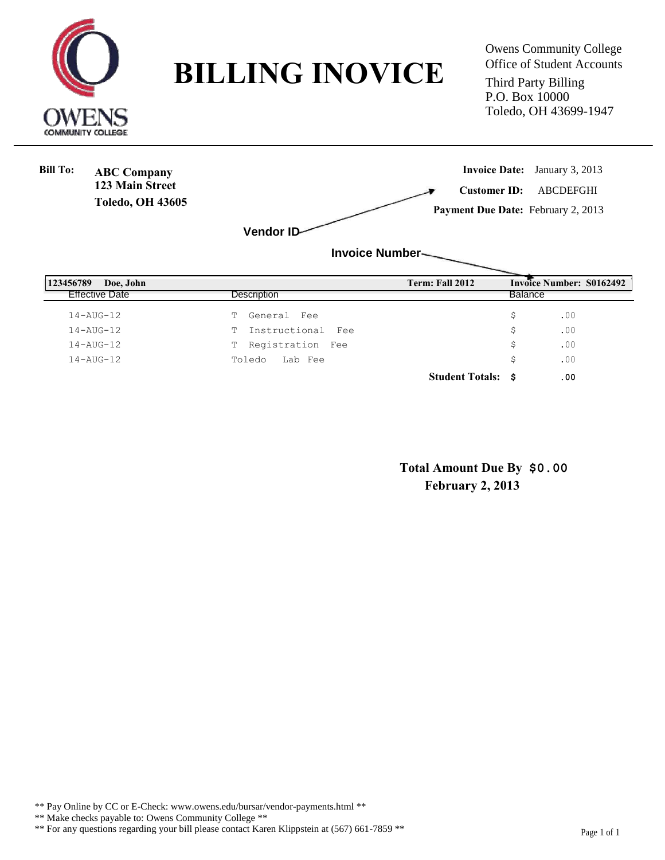

**BILLING INOVICE** Office of Student Accounts

Third Party Billing P.O. Box 10000 Toledo, OH 43699-1947



**Student Totals: \$ .00**

**Total Amount Due By \$0.00 February 2, 2013**

\*\* Pay Online by CC or E-Check: www.owens.edu/bursar/vendor-payments.html \*\*

- \*\* Make checks payable to: Owens Community College \*\*
- \*\* For any questions regarding your bill please contact Karen Klippstein at (567) 661-7859 \*\* Page 1 of 1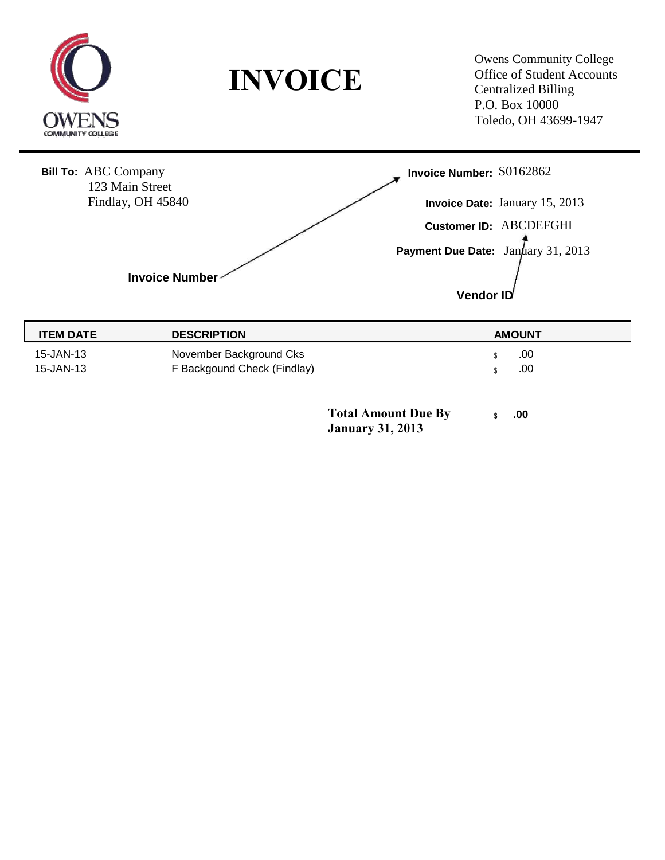

**INVOICE**

Owens Community College Office of Student Accounts Centralized Billing P.O. Box 10000 Toledo, OH 43699-1947



**Total Amount Due By \$** .00 **January 31, 2013**